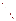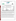## **THE ENVIRONMENTAL TECHNOLOGY VERIFICATION**







# **ETV Joint Verification Statement**

|                                      | TECHNOLOGY TYPE: PORTABLE EMISSION ANALYZER            |                       |                              |
|--------------------------------------|--------------------------------------------------------|-----------------------|------------------------------|
| <b>APPLICATION:</b>                  | DETERMINING NITROGEN OXIDES EMISSIONS                  |                       |                              |
|                                      | TECHNOLOGY NAME: Model 350 Portable Emissions Analyzer |                       |                              |
| <b>COMPANY:</b>                      | Testo, Inc.                                            |                       |                              |
| <b>ADDRESS:</b>                      | 35 Ironia Rd<br><b>Flanders, N.J. 07836</b>            | <b>PHONE:</b><br>FAX: | 973-252-1720<br>973-252-1729 |
| <b>WEB SITE:</b><br>$E\text{-}MAIL:$ | http://www.testo.com<br>info@testo.com                 |                       |                              |

The U.S. Environmental Protection Agency (EPA) has created the Environmental Technology Verification (ETV) Program to facilitate the deployment of innovative or improved environmental technologies through performance verification and dissemination of information. The goal of the ETV Program is to further environmental protection by substantially accelerating the acceptance and use of improved and cost-effective technologies. ETV seeks to achieve this goal by providing high quality, peer reviewed data on technology performance to those involved in the design, distribution, financing, permitting, purchase, and use of environmental technologies.

ETV works in partnership with recognized standards and testing organizations; stakeholder groups which consist of buyers, vendor organizations, and permitters; and with the full participation of individual technology developers. The program evaluates the performance of innovative technologies by developing test plans that are responsive to the needs of stakeholders, conducting field or laboratory tests (as appropriate), collecting and analyzing data, and preparing peer reviewed reports. All evaluations are conducted in accordance with rigorous quality assurance protocols to ensure that data of known and adequate quality are generated and that the results are defensible.

The Advanced Monitoring Systems (AMS) program, one of 12 technology areas under ETV, is operated by Battelle in cooperation with EPA's National Exposure Research Laboratory. AMS has recently evaluated the performance of portable nitrogen oxides monitors used to determine emissions from combustion sources. This verification statement provides a summary of the test results for the Testo Model 350 Portable Emission Analyzer.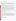#### **VERIFICATION TEST DESCRIPTION**

The verification test described in this report was one of a series of tests conducted in early 1999 on commercial portable nitrogen oxides analyzers at Battelle's facilities in Columbus, Ohio. Verification testing of the analyzers involved (1) a series of laboratory tests in which certified NO and  $NO<sub>2</sub>$  standards were used to challenge the analyzers over a wide concentration range and (2) tests using realistic combustion sources, in which data from the portable analyzers undergoing testing were compared to simultaneous measurements of NO and NO<sub>x</sub> obtained with two chemiluminescent analyzers.

Verification testing lasted three to four days, of which two days were required for laboratory testing and the remainder for source emissions testing. To assess inter-unit variability, two identical analyzers were tested simultaneously in all tests, and results from the two analyzers were kept separate. The analyzers were operated at all times by a representative of Testo and supervised at all times by Battelle staff.

Verification testing focused on measurement of NO and  $NO<sub>2</sub>$ , the sum of which is denoted as  $NO<sub>x</sub>$ . Laboratory testing included a linearity test over the entire nominal ranges of the analyzers for both NO and NO<sub>2</sub>; estimation of detection limits and response times; interference testing; assessment of sample pressure and ambient temperature effects on analyzer response; and evaluation of zero and span drift during the various laboratory tests. Tests with combustion sources assessed the accuracy of  $NO$ ,  $NO<sub>2</sub>$ , and  $NO<sub>x</sub>$  measurements, relative to the chemiluminescent  $NO/NO<sub>x</sub>$  approach that is the basis of EPA Method 7E. Sources used in the testing were a gas-fired rangetop burner, a gas-fired water heater, and a diesel-powered electrical generator operated at both idle and at high RPM. These sources produced  $NO<sub>x</sub>$  emissions ranging from less than 10 to over 400 ppm. Zero and span drift resulting from exposure to source emissions were assessed, and analyzer stability was monitored during one hour of uninterrupted sampling of diesel emissions.

Quality assurance (QA) oversight of verification testing was provided by both Battelle and U.S. EPA. Battelle QA staff conducted a technical systems audit, a performance evaluation audit, and a data quality audit of 10 percent of the test data. EPA QA staff conducted an independent on-site technical system audit.

### **TECHNOLOGY DESCRIPTION**

The Testo 350 is a portable analyzer designed to measure  $O_2$ , CO, NO, NO<sub>2</sub>, and SO<sub>2</sub> and draft from combustion emission sources. The fundamental components of the instrument are the electrochemical cells, which create an output signal that is selective as well as proportional to the concentrations of the targeted gases in the combustion stream. The Testo 350 weighs approximately 6 pounds, and may be operated from AC power or from a built-in battery pack. All analyzer control functions and displays are housed in a remote controller that permits analyzer operation and readout at distances up to 65 feet. Data are transferred from the hand-held controller through a remote IR printer or the computer interface. The Testo 350s used during ETV testing were standard systems for measuring O<sub>2</sub>, CO, NO, and NO<sub>2</sub>. A heated sample line and the Testo Model 339 sample gas conditioner were used with the Model 350 in all testing. These accessories weigh about 13 pounds, and operate with 110V or 230V AC power.

#### **VERIFICATION OF PERFORMANCE**

**Linearity:** The Testo 350 analyzers provided linear response over their full nominal ranges of 0 to 3,000 ppm for NO and 0 to 500 ppm for  $NO<sub>2</sub>$ .